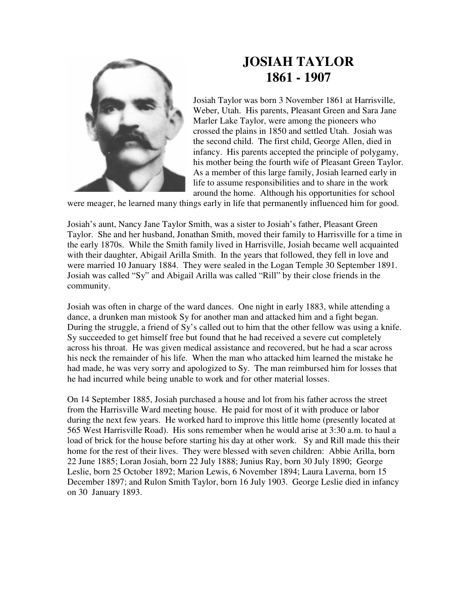

## **JOSIAH TAYLOR 1861 - 1907**

Josiah Taylor was born 3 November 1861 at Harrisville, Weber, Utah. His parents, Pleasant Green and Sara Jane Marler Lake Taylor, were among the pioneers who crossed the plains in 1850 and settled Utah. Josiah was the second child. The first child, George Allen, died in infancy. His parents accepted the principle of polygamy, his mother being the fourth wife of Pleasant Green Taylor. As a member of this large family, Josiah learned early in life to assume responsibilities and to share in the work around the home. Although his opportunities for school

were meager, he learned many things early in life that permanently influenced him for good.

Josiah's aunt, Nancy Jane Taylor Smith, was a sister to Josiah's father, Pleasant Green Taylor. She and her husband, Jonathan Smith, moved their family to Harrisville for a time in the early 1870s. While the Smith family lived in Harrisville, Josiah became well acquainted with their daughter, Abigail Arilla Smith. In the years that followed, they fell in love and were married 10 January 1884. They were sealed in the Logan Temple 30 September 1891. Josiah was called "Sy" and Abigail Arilla was called "Rill" by their close friends in the community.

Josiah was often in charge of the ward dances. One night in early 1883, while attending a dance, a drunken man mistook Sy for another man and attacked him and a fight began. During the struggle, a friend of Sy's called out to him that the other fellow was using a knife. Sy succeeded to get himself free but found that he had received a severe cut completely across his throat. He was given medical assistance and recovered, but he had a scar across his neck the remainder of his life. When the man who attacked him learned the mistake he had made, he was very sorry and apologized to Sy. The man reimbursed him for losses that he had incurred while being unable to work and for other material losses.

On 14 September 1885, Josiah purchased a house and lot from his father across the street from the Harrisville Ward meeting house. He paid for most of it with produce or labor during the next few years. He worked hard to improve this little home (presently located at 565 West Harrisville Road). His sons remember when he would arise at 3:30 a.m. to haul a load of brick for the house before starting his day at other work. Sy and Rill made this their home for the rest of their lives. They were blessed with seven children: Abbie Arilla, born 22 June 1885; Loran Josiah, born 22 July 1888; Junius Ray, born 30 July 1890; George Leslie, born 25 October 1892; Marion Lewis, 6 November 1894; Laura Laverna, born 15 December 1897; and Rulon Smith Taylor, born 16 July 1903. George Leslie died in infancy on 30 January 1893.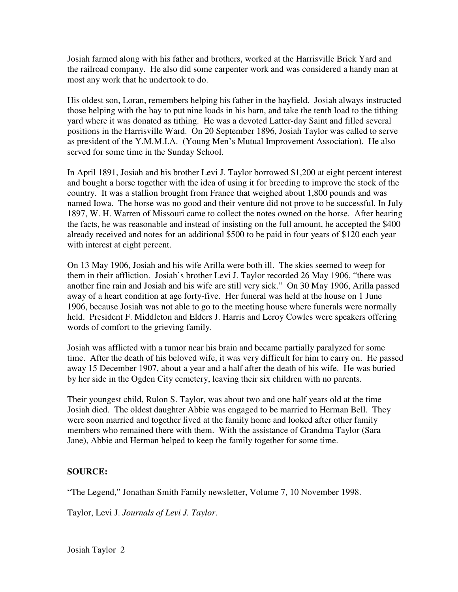Josiah farmed along with his father and brothers, worked at the Harrisville Brick Yard and the railroad company. He also did some carpenter work and was considered a handy man at most any work that he undertook to do.

His oldest son, Loran, remembers helping his father in the hayfield. Josiah always instructed those helping with the hay to put nine loads in his barn, and take the tenth load to the tithing yard where it was donated as tithing. He was a devoted Latter-day Saint and filled several positions in the Harrisville Ward. On 20 September 1896, Josiah Taylor was called to serve as president of the Y.M.M.I.A. (Young Men's Mutual Improvement Association). He also served for some time in the Sunday School.

In April 1891, Josiah and his brother Levi J. Taylor borrowed \$1,200 at eight percent interest and bought a horse together with the idea of using it for breeding to improve the stock of the country. It was a stallion brought from France that weighed about 1,800 pounds and was named Iowa. The horse was no good and their venture did not prove to be successful. In July 1897, W. H. Warren of Missouri came to collect the notes owned on the horse. After hearing the facts, he was reasonable and instead of insisting on the full amount, he accepted the \$400 already received and notes for an additional \$500 to be paid in four years of \$120 each year with interest at eight percent.

On 13 May 1906, Josiah and his wife Arilla were both ill. The skies seemed to weep for them in their affliction. Josiah's brother Levi J. Taylor recorded 26 May 1906, "there was another fine rain and Josiah and his wife are still very sick." On 30 May 1906, Arilla passed away of a heart condition at age forty-five. Her funeral was held at the house on 1 June 1906, because Josiah was not able to go to the meeting house where funerals were normally held. President F. Middleton and Elders J. Harris and Leroy Cowles were speakers offering words of comfort to the grieving family.

Josiah was afflicted with a tumor near his brain and became partially paralyzed for some time. After the death of his beloved wife, it was very difficult for him to carry on. He passed away 15 December 1907, about a year and a half after the death of his wife. He was buried by her side in the Ogden City cemetery, leaving their six children with no parents.

Their youngest child, Rulon S. Taylor, was about two and one half years old at the time Josiah died. The oldest daughter Abbie was engaged to be married to Herman Bell. They were soon married and together lived at the family home and looked after other family members who remained there with them. With the assistance of Grandma Taylor (Sara Jane), Abbie and Herman helped to keep the family together for some time.

## **SOURCE:**

"The Legend," Jonathan Smith Family newsletter, Volume 7, 10 November 1998.

Taylor, Levi J. *Journals of Levi J. Taylor*.